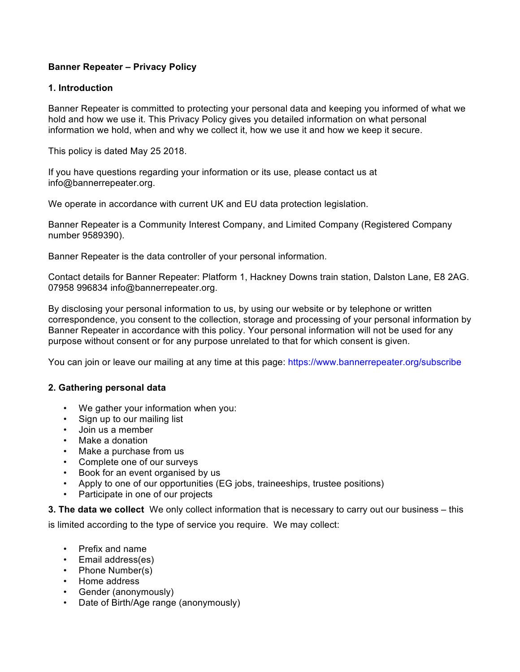# **Banner Repeater – Privacy Policy**

### **1. Introduction**

Banner Repeater is committed to protecting your personal data and keeping you informed of what we hold and how we use it. This Privacy Policy gives you detailed information on what personal information we hold, when and why we collect it, how we use it and how we keep it secure.

This policy is dated May 25 2018.

If you have questions regarding your information or its use, please contact us at info@bannerrepeater.org.

We operate in accordance with current UK and EU data protection legislation.

Banner Repeater is a Community Interest Company, and Limited Company (Registered Company number 9589390).

Banner Repeater is the data controller of your personal information.

Contact details for Banner Repeater: Platform 1, Hackney Downs train station, Dalston Lane, E8 2AG. 07958 996834 info@bannerrepeater.org.

By disclosing your personal information to us, by using our website or by telephone or written correspondence, you consent to the collection, storage and processing of your personal information by Banner Repeater in accordance with this policy. Your personal information will not be used for any purpose without consent or for any purpose unrelated to that for which consent is given.

You can join or leave our mailing at any time at this page: https://www.bannerrepeater.org/subscribe

## **2. Gathering personal data**

- We gather your information when you:
- Sign up to our mailing list
- Join us a member
- Make a donation
- Make a purchase from us
- Complete one of our surveys
- Book for an event organised by us
- Apply to one of our opportunities (EG jobs, traineeships, trustee positions)
- Participate in one of our projects

**3. The data we collect** We only collect information that is necessary to carry out our business – this

is limited according to the type of service you require. We may collect:

- Prefix and name
- Email address(es)
- Phone Number(s)
- Home address
- Gender (anonymously)
- Date of Birth/Age range (anonymously)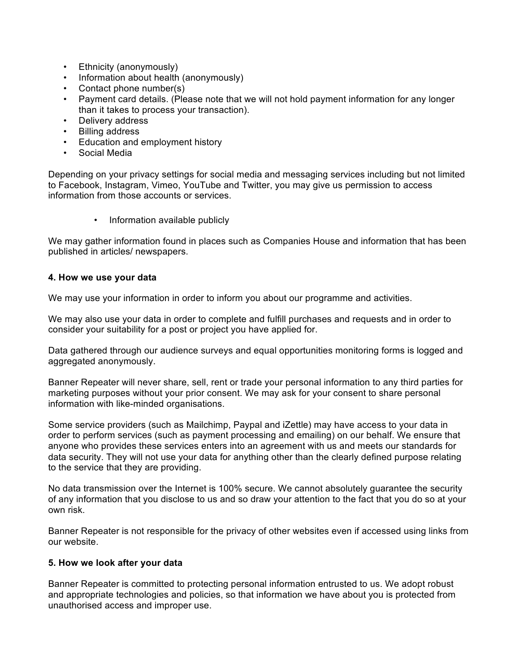- Ethnicity (anonymously)
- Information about health (anonymously)
- Contact phone number(s)
- Payment card details. (Please note that we will not hold payment information for any longer than it takes to process your transaction).
- Delivery address
- Billing address
- Education and employment history
- Social Media

Depending on your privacy settings for social media and messaging services including but not limited to Facebook, Instagram, Vimeo, YouTube and Twitter, you may give us permission to access information from those accounts or services.

• Information available publicly

We may gather information found in places such as Companies House and information that has been published in articles/ newspapers.

### **4. How we use your data**

We may use your information in order to inform you about our programme and activities.

We may also use your data in order to complete and fulfill purchases and requests and in order to consider your suitability for a post or project you have applied for.

Data gathered through our audience surveys and equal opportunities monitoring forms is logged and aggregated anonymously.

Banner Repeater will never share, sell, rent or trade your personal information to any third parties for marketing purposes without your prior consent. We may ask for your consent to share personal information with like-minded organisations.

Some service providers (such as Mailchimp, Paypal and iZettle) may have access to your data in order to perform services (such as payment processing and emailing) on our behalf. We ensure that anyone who provides these services enters into an agreement with us and meets our standards for data security. They will not use your data for anything other than the clearly defined purpose relating to the service that they are providing.

No data transmission over the Internet is 100% secure. We cannot absolutely guarantee the security of any information that you disclose to us and so draw your attention to the fact that you do so at your own risk.

Banner Repeater is not responsible for the privacy of other websites even if accessed using links from our website.

## **5. How we look after your data**

Banner Repeater is committed to protecting personal information entrusted to us. We adopt robust and appropriate technologies and policies, so that information we have about you is protected from unauthorised access and improper use.